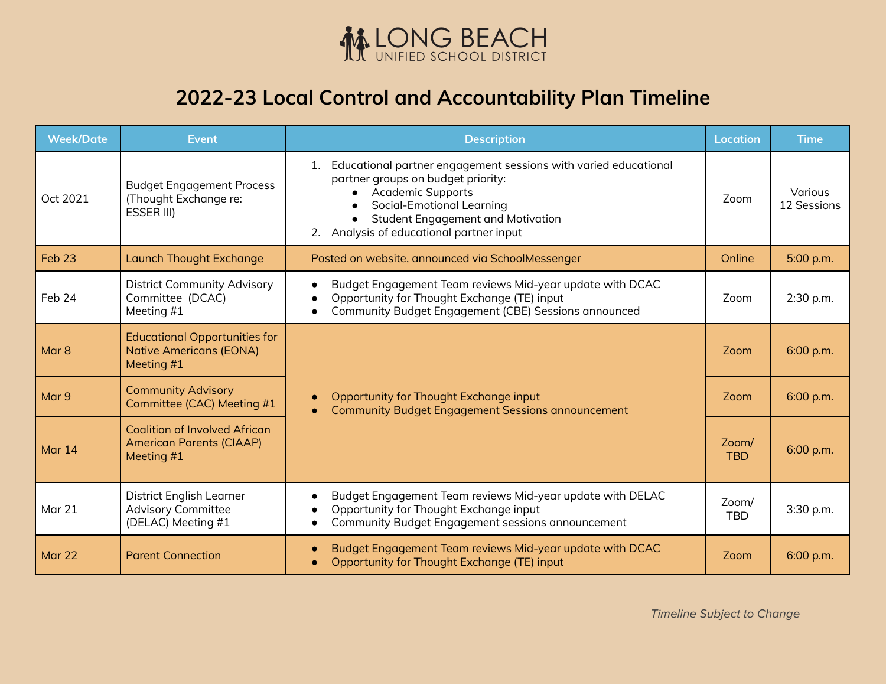

## **2022-23 Local Control and Accountability Plan Timeline**

| <b>Week/Date</b>  | <b>Event</b>                                                                          | <b>Description</b>                                                                                                                                                                                                                                                        | <b>Location</b>     | <b>Time</b>            |
|-------------------|---------------------------------------------------------------------------------------|---------------------------------------------------------------------------------------------------------------------------------------------------------------------------------------------------------------------------------------------------------------------------|---------------------|------------------------|
| Oct 2021          | <b>Budget Engagement Process</b><br>(Thought Exchange re:<br><b>ESSER III)</b>        | 1. Educational partner engagement sessions with varied educational<br>partner groups on budget priority:<br><b>Academic Supports</b><br>Social-Emotional Learning<br>$\bullet$<br><b>Student Engagement and Motivation</b><br>Analysis of educational partner input<br>2. | Zoom                | Various<br>12 Sessions |
| Feb <sub>23</sub> | <b>Launch Thought Exchange</b>                                                        | Posted on website, announced via SchoolMessenger                                                                                                                                                                                                                          | Online              | 5:00 p.m.              |
| Feb 24            | <b>District Community Advisory</b><br>Committee (DCAC)<br>Meeting #1                  | Budget Engagement Team reviews Mid-year update with DCAC<br>$\bullet$<br>Opportunity for Thought Exchange (TE) input<br>Community Budget Engagement (CBE) Sessions announced                                                                                              | Zoom                | 2:30 p.m.              |
| Mar <sub>8</sub>  | <b>Educational Opportunities for</b><br><b>Native Americans (EONA)</b><br>Meeting #1  | Opportunity for Thought Exchange input<br><b>Community Budget Engagement Sessions announcement</b>                                                                                                                                                                        | Zoom                | 6:00 p.m.              |
| Mar 9             | <b>Community Advisory</b><br>Committee (CAC) Meeting #1                               |                                                                                                                                                                                                                                                                           | Zoom                | 6:00 p.m.              |
| Mar 14            | <b>Coalition of Involved African</b><br><b>American Parents (CIAAP)</b><br>Meeting #1 |                                                                                                                                                                                                                                                                           | Zoom/<br><b>TBD</b> | 6:00 p.m.              |
| Mar 21            | District English Learner<br><b>Advisory Committee</b><br>(DELAC) Meeting #1           | Budget Engagement Team reviews Mid-year update with DELAC<br>Opportunity for Thought Exchange input<br>$\bullet$<br>Community Budget Engagement sessions announcement                                                                                                     | Zoom/<br><b>TBD</b> | 3:30 p.m.              |
| Mar 22            | <b>Parent Connection</b>                                                              | Budget Engagement Team reviews Mid-year update with DCAC<br>$\bullet$<br>Opportunity for Thought Exchange (TE) input                                                                                                                                                      | Zoom                | 6:00 p.m.              |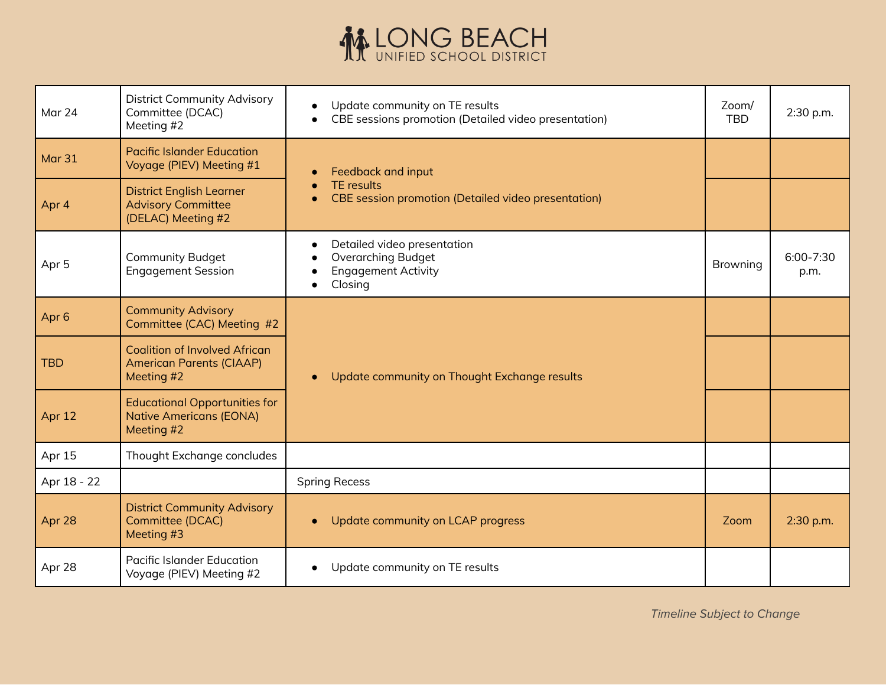## **MELONG BEACH**

| Mar 24           | <b>District Community Advisory</b><br>Committee (DCAC)<br>Meeting #2                  | Update community on TE results<br>CBE sessions promotion (Detailed video presentation)            | Zoom/<br><b>TBD</b> | 2:30 p.m.             |
|------------------|---------------------------------------------------------------------------------------|---------------------------------------------------------------------------------------------------|---------------------|-----------------------|
| Mar 31           | <b>Pacific Islander Education</b><br>Voyage (PIEV) Meeting #1                         | Feedback and input<br><b>TE</b> results<br>CBE session promotion (Detailed video presentation)    |                     |                       |
| Apr 4            | <b>District English Learner</b><br><b>Advisory Committee</b><br>(DELAC) Meeting #2    |                                                                                                   |                     |                       |
| Apr <sub>5</sub> | <b>Community Budget</b><br><b>Engagement Session</b>                                  | Detailed video presentation<br><b>Overarching Budget</b><br><b>Engagement Activity</b><br>Closing | Browning            | $6:00 - 7:30$<br>p.m. |
| Apr <sub>6</sub> | <b>Community Advisory</b><br>Committee (CAC) Meeting #2                               | Update community on Thought Exchange results                                                      |                     |                       |
| <b>TBD</b>       | <b>Coalition of Involved African</b><br><b>American Parents (CIAAP)</b><br>Meeting #2 |                                                                                                   |                     |                       |
| Apr 12           | <b>Educational Opportunities for</b><br><b>Native Americans (EONA)</b><br>Meeting #2  |                                                                                                   |                     |                       |
| Apr 15           | Thought Exchange concludes                                                            |                                                                                                   |                     |                       |
| Apr 18 - 22      |                                                                                       | <b>Spring Recess</b>                                                                              |                     |                       |
| Apr 28           | <b>District Community Advisory</b><br>Committee (DCAC)<br>Meeting #3                  | Update community on LCAP progress                                                                 | Zoom                | 2:30 p.m.             |
| Apr 28           | <b>Pacific Islander Education</b><br>Voyage (PIEV) Meeting #2                         | Update community on TE results                                                                    |                     |                       |

Timeline Subject to Change